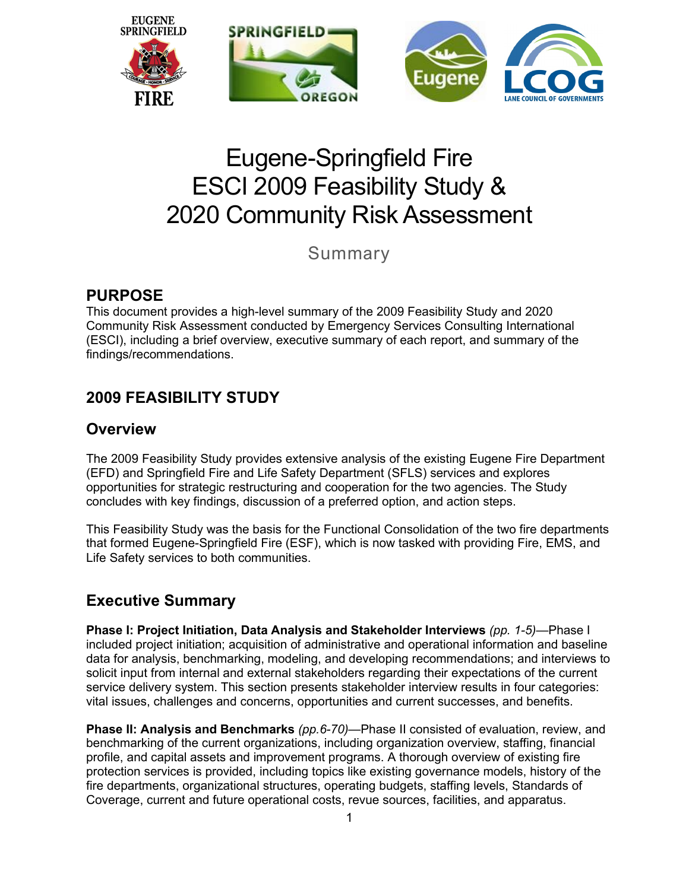

# Eugene-Springfield Fire ESCI 2009 Feasibility Study & 2020 Community Risk Assessment

Summary

### **PURPOSE**

This document provides a high-level summary of the 2009 Feasibility Study and 2020 Community Risk Assessment conducted by Emergency Services Consulting International (ESCI), including a brief overview, executive summary of each report, and summary of the findings/recommendations.

# **2009 FEASIBILITY STUDY**

### **Overview**

The 2009 Feasibility Study provides extensive analysis of the existing Eugene Fire Department (EFD) and Springfield Fire and Life Safety Department (SFLS) services and explores opportunities for strategic restructuring and cooperation for the two agencies. The Study concludes with key findings, discussion of a preferred option, and action steps.

This Feasibility Study was the basis for the Functional Consolidation of the two fire departments that formed Eugene-Springfield Fire (ESF), which is now tasked with providing Fire, EMS, and Life Safety services to both communities.

### **Executive Summary**

**Phase I: Project Initiation, Data Analysis and Stakeholder Interviews** *(pp. 1-5)—*Phase I included project initiation; acquisition of administrative and operational information and baseline data for analysis, benchmarking, modeling, and developing recommendations; and interviews to solicit input from internal and external stakeholders regarding their expectations of the current service delivery system. This section presents stakeholder interview results in four categories: vital issues, challenges and concerns, opportunities and current successes, and benefits.

**Phase II: Analysis and Benchmarks** (pp.6-70)—Phase II consisted of evaluation, review, and benchmarking of the current organizations, including organization overview, staffing, financial profile, and capital assets and improvement programs. A thorough overview of existing fire protection services is provided, including topics like existing governance models, history of the fire departments, organizational structures, operating budgets, staffing levels, Standards of Coverage, current and future operational costs, revue sources, facilities, and apparatus.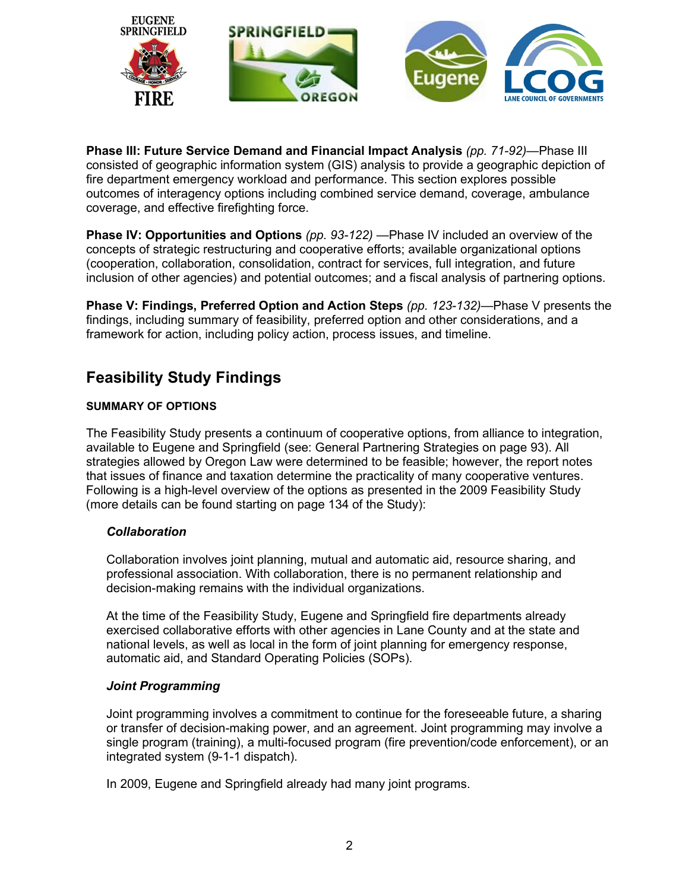

**Phase III: Future Service Demand and Financial Impact Analysis** *(pp. 71-92)—*Phase III consisted of geographic information system (GIS) analysis to provide a geographic depiction of fire department emergency workload and performance. This section explores possible outcomes of interagency options including combined service demand, coverage, ambulance coverage, and effective firefighting force.

**Phase IV: Opportunities and Options** *(pp. 93-122) —*Phase IV included an overview of the concepts of strategic restructuring and cooperative efforts; available organizational options (cooperation, collaboration, consolidation, contract for services, full integration, and future inclusion of other agencies) and potential outcomes; and a fiscal analysis of partnering options.

**Phase V: Findings, Preferred Option and Action Steps** *(pp. 123-132)—*Phase V presents the findings, including summary of feasibility, preferred option and other considerations, and a framework for action, including policy action, process issues, and timeline.

## **Feasibility Study Findings**

#### **SUMMARY OF OPTIONS**

The Feasibility Study presents a continuum of cooperative options, from alliance to integration, available to Eugene and Springfield (see: General Partnering Strategies on page 93). All strategies allowed by Oregon Law were determined to be feasible; however, the report notes that issues of finance and taxation determine the practicality of many cooperative ventures. Following is a high-level overview of the options as presented in the 2009 Feasibility Study (more details can be found starting on page 134 of the Study):

#### *Collaboration*

Collaboration involves joint planning, mutual and automatic aid, resource sharing, and professional association. With collaboration, there is no permanent relationship and decision-making remains with the individual organizations.

At the time of the Feasibility Study, Eugene and Springfield fire departments already exercised collaborative efforts with other agencies in Lane County and at the state and national levels, as well as local in the form of joint planning for emergency response, automatic aid, and Standard Operating Policies (SOPs).

#### *Joint Programming*

Joint programming involves a commitment to continue for the foreseeable future, a sharing or transfer of decision-making power, and an agreement. Joint programming may involve a single program (training), a multi-focused program (fire prevention/code enforcement), or an integrated system (9-1-1 dispatch).

In 2009, Eugene and Springfield already had many joint programs.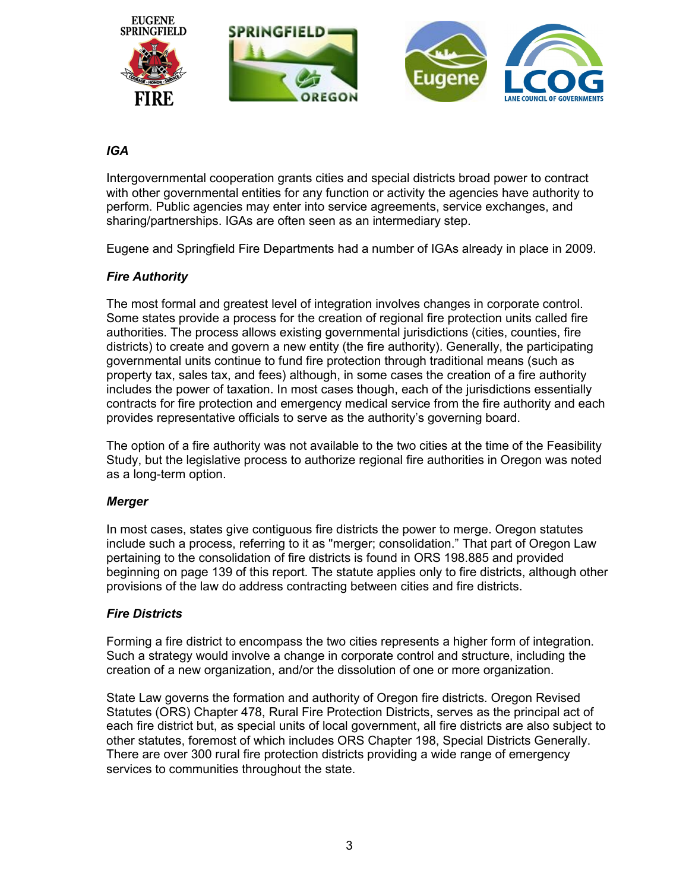

#### *IGA*

Intergovernmental cooperation grants cities and special districts broad power to contract with other governmental entities for any function or activity the agencies have authority to perform. Public agencies may enter into service agreements, service exchanges, and sharing/partnerships. IGAs are often seen as an intermediary step.

Eugene and Springfield Fire Departments had a number of IGAs already in place in 2009.

#### *Fire Authority*

The most formal and greatest level of integration involves changes in corporate control. Some states provide a process for the creation of regional fire protection units called fire authorities. The process allows existing governmental jurisdictions (cities, counties, fire districts) to create and govern a new entity (the fire authority). Generally, the participating governmental units continue to fund fire protection through traditional means (such as property tax, sales tax, and fees) although, in some cases the creation of a fire authority includes the power of taxation. In most cases though, each of the jurisdictions essentially contracts for fire protection and emergency medical service from the fire authority and each provides representative officials to serve as the authority's governing board.

The option of a fire authority was not available to the two cities at the time of the Feasibility Study, but the legislative process to authorize regional fire authorities in Oregon was noted as a long-term option.

#### *Merger*

In most cases, states give contiguous fire districts the power to merge. Oregon statutes include such a process, referring to it as "merger; consolidation." That part of Oregon Law pertaining to the consolidation of fire districts is found in ORS 198.885 and provided beginning on page 139 of this report. The statute applies only to fire districts, although other provisions of the law do address contracting between cities and fire districts.

#### *Fire Districts*

Forming a fire district to encompass the two cities represents a higher form of integration. Such a strategy would involve a change in corporate control and structure, including the creation of a new organization, and/or the dissolution of one or more organization.

State Law governs the formation and authority of Oregon fire districts. Oregon Revised Statutes (ORS) Chapter 478, Rural Fire Protection Districts, serves as the principal act of each fire district but, as special units of local government, all fire districts are also subject to other statutes, foremost of which includes ORS Chapter 198, Special Districts Generally. There are over 300 rural fire protection districts providing a wide range of emergency services to communities throughout the state.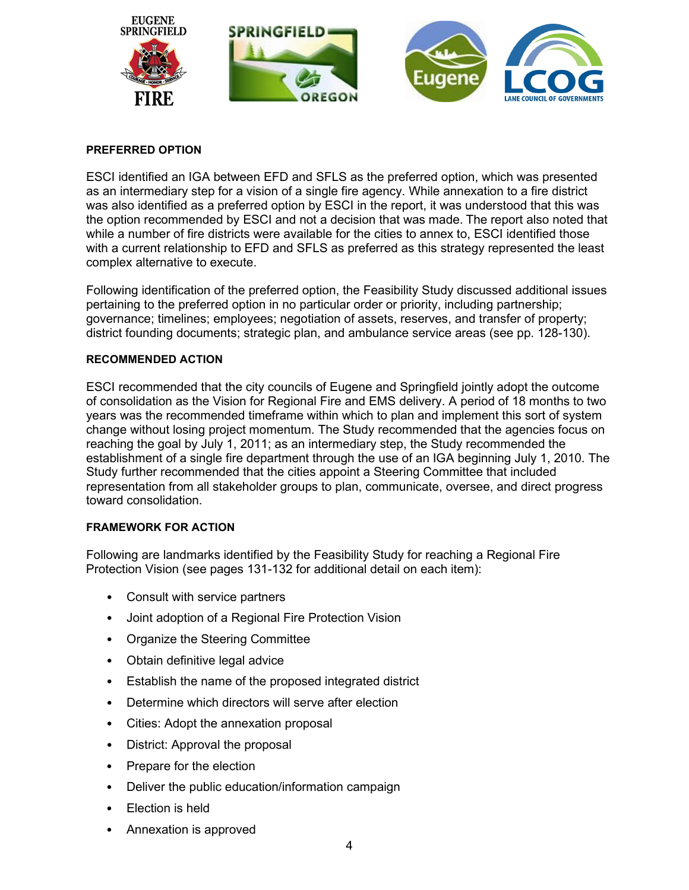

#### **PREFERRED OPTION**

ESCI identified an IGA between EFD and SFLS as the preferred option, which was presented as an intermediary step for a vision of a single fire agency. While annexation to a fire district was also identified as a preferred option by ESCI in the report, it was understood that this was the option recommended by ESCI and not a decision that was made. The report also noted that while a number of fire districts were available for the cities to annex to, ESCI identified those with a current relationship to EFD and SFLS as preferred as this strategy represented the least complex alternative to execute.

Following identification of the preferred option, the Feasibility Study discussed additional issues pertaining to the preferred option in no particular order or priority, including partnership; governance; timelines; employees; negotiation of assets, reserves, and transfer of property; district founding documents; strategic plan, and ambulance service areas (see pp. 128-130).

#### **RECOMMENDED ACTION**

ESCI recommended that the city councils of Eugene and Springfield jointly adopt the outcome of consolidation as the Vision for Regional Fire and EMS delivery. A period of 18 months to two years was the recommended timeframe within which to plan and implement this sort of system change without losing project momentum. The Study recommended that the agencies focus on reaching the goal by July 1, 2011; as an intermediary step, the Study recommended the establishment of a single fire department through the use of an IGA beginning July 1, 2010. The Study further recommended that the cities appoint a Steering Committee that included representation from all stakeholder groups to plan, communicate, oversee, and direct progress toward consolidation.

#### **FRAMEWORK FOR ACTION**

Following are landmarks identified by the Feasibility Study for reaching a Regional Fire Protection Vision (see pages 131-132 for additional detail on each item):

- Consult with service partners
- Joint adoption of a Regional Fire Protection Vision
- Organize the Steering Committee
- Obtain definitive legal advice
- Establish the name of the proposed integrated district
- Determine which directors will serve after election
- Cities: Adopt the annexation proposal
- District: Approval the proposal
- Prepare for the election
- Deliver the public education/information campaign
- Election is held
- Annexation is approved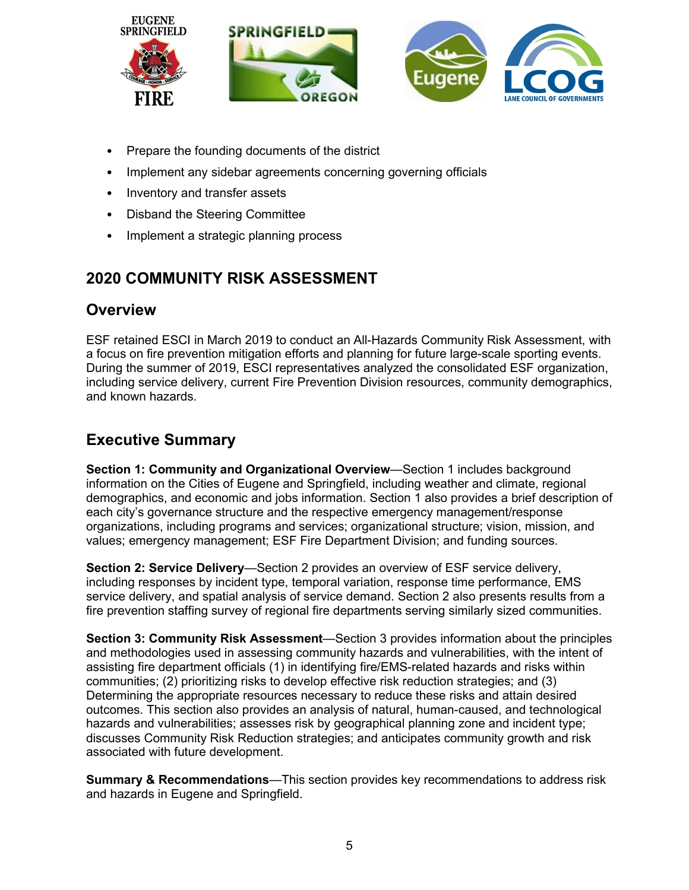

- Prepare the founding documents of the district
- Implement any sidebar agreements concerning governing officials
- Inventory and transfer assets
- Disband the Steering Committee
- Implement a strategic planning process

## **2020 COMMUNITY RISK ASSESSMENT**

### **Overview**

ESF retained ESCI in March 2019 to conduct an All-Hazards Community Risk Assessment, with a focus on fire prevention mitigation efforts and planning for future large-scale sporting events. During the summer of 2019, ESCI representatives analyzed the consolidated ESF organization, including service delivery, current Fire Prevention Division resources, community demographics, and known hazards.

# **Executive Summary**

**Section 1: Community and Organizational Overview**—Section 1 includes background information on the Cities of Eugene and Springfield, including weather and climate, regional demographics, and economic and jobs information. Section 1 also provides a brief description of each city's governance structure and the respective emergency management/response organizations, including programs and services; organizational structure; vision, mission, and values; emergency management; ESF Fire Department Division; and funding sources.

**Section 2: Service Delivery**—Section 2 provides an overview of ESF service delivery, including responses by incident type, temporal variation, response time performance, EMS service delivery, and spatial analysis of service demand. Section 2 also presents results from a fire prevention staffing survey of regional fire departments serving similarly sized communities.

**Section 3: Community Risk Assessment**—Section 3 provides information about the principles and methodologies used in assessing community hazards and vulnerabilities, with the intent of assisting fire department officials (1) in identifying fire/EMS-related hazards and risks within communities; (2) prioritizing risks to develop effective risk reduction strategies; and (3) Determining the appropriate resources necessary to reduce these risks and attain desired outcomes. This section also provides an analysis of natural, human-caused, and technological hazards and vulnerabilities; assesses risk by geographical planning zone and incident type; discusses Community Risk Reduction strategies; and anticipates community growth and risk associated with future development.

**Summary & Recommendations**—This section provides key recommendations to address risk and hazards in Eugene and Springfield.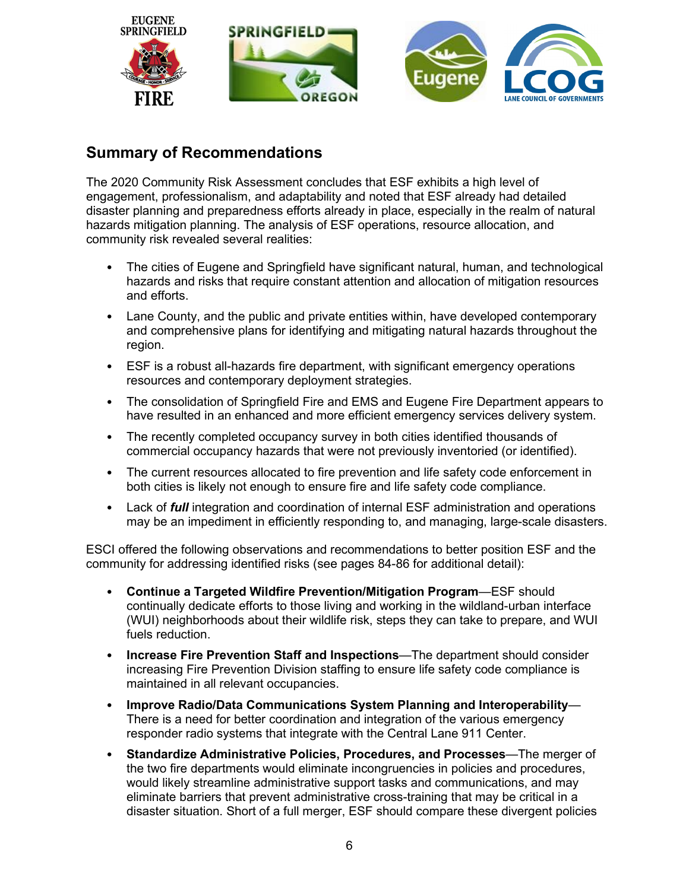

# **Summary of Recommendations**

The 2020 Community Risk Assessment concludes that ESF exhibits a high level of engagement, professionalism, and adaptability and noted that ESF already had detailed disaster planning and preparedness efforts already in place, especially in the realm of natural hazards mitigation planning. The analysis of ESF operations, resource allocation, and community risk revealed several realities:

- The cities of Eugene and Springfield have significant natural, human, and technological hazards and risks that require constant attention and allocation of mitigation resources and efforts.
- Lane County, and the public and private entities within, have developed contemporary and comprehensive plans for identifying and mitigating natural hazards throughout the region.
- ESF is a robust all-hazards fire department, with significant emergency operations resources and contemporary deployment strategies.
- The consolidation of Springfield Fire and EMS and Eugene Fire Department appears to have resulted in an enhanced and more efficient emergency services delivery system.
- The recently completed occupancy survey in both cities identified thousands of commercial occupancy hazards that were not previously inventoried (or identified).
- The current resources allocated to fire prevention and life safety code enforcement in both cities is likely not enough to ensure fire and life safety code compliance.
- Lack of *full* integration and coordination of internal ESF administration and operations may be an impediment in efficiently responding to, and managing, large-scale disasters.

ESCI offered the following observations and recommendations to better position ESF and the community for addressing identified risks (see pages 84-86 for additional detail):

- **Continue a Targeted Wildfire Prevention/Mitigation Program**—ESF should continually dedicate efforts to those living and working in the wildland-urban interface (WUI) neighborhoods about their wildlife risk, steps they can take to prepare, and WUI fuels reduction.
- **Increase Fire Prevention Staff and Inspections**—The department should consider increasing Fire Prevention Division staffing to ensure life safety code compliance is maintained in all relevant occupancies.
- **Improve Radio/Data Communications System Planning and Interoperability** There is a need for better coordination and integration of the various emergency responder radio systems that integrate with the Central Lane 911 Center.
- **Standardize Administrative Policies, Procedures, and Processes**—The merger of the two fire departments would eliminate incongruencies in policies and procedures, would likely streamline administrative support tasks and communications, and may eliminate barriers that prevent administrative cross-training that may be critical in a disaster situation. Short of a full merger, ESF should compare these divergent policies